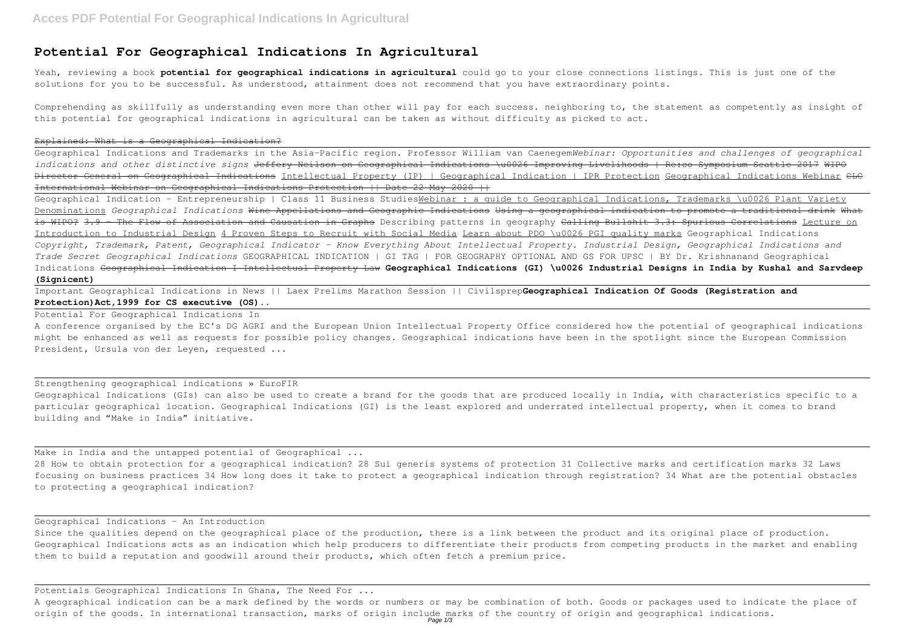## **Potential For Geographical Indications In Agricultural**

Yeah, reviewing a book **potential for geographical indications in agricultural** could go to your close connections listings. This is just one of the solutions for you to be successful. As understood, attainment does not recommend that you have extraordinary points.

Comprehending as skillfully as understanding even more than other will pay for each success. neighboring to, the statement as competently as insight of this potential for geographical indications in agricultural can be taken as without difficulty as picked to act.

### Explained: What is a Geographical Indication?

Geographical Indications and Trademarks in the Asia-Pacific region. Professor William van Caenegem*Webinar: Opportunities and challenges of geographical indications and other distinctive signs* Jeffery Neilson on Geographical Indications \u0026 Improving Livelihoods | Re:co Symposium Seattle 2017 WIPO Director General on Geographical Indications Intellectual Property (IP) | Geographical Indication | IPR Protection Geographical Indications Webinar CLC International Webinar on Geographical Indications Protection || Date 22 May 2020 ||

Geographical Indication - Entrepreneurship | Class 11 Business StudiesWebinar : a guide to Geographical Indications, Trademarks \u0026 Plant Variety Denominations *Geographical Indications* Wine Appellations and Geographic Indications Using a geographical indication to promote a traditional drink What is WIPO? 3.9 - The Flow of Association and Causation in Graphs Describing patterns in geography Calling Bullshit 3.3: Spurious Correlations Lecture on Introduction to Industrial Design 4 Proven Steps to Recruit with Social Media Learn about PDO \u0026 PGI quality marks Geographical Indications *Copyright, Trademark, Patent, Geographical Indicator - Know Everything About Intellectual Property. Industrial Design, Geographical Indications and Trade Secret Geographical Indications* GEOGRAPHICAL INDICATION | GI TAG | FOR GEOGRAPHY OPTIONAL AND GS FOR UPSC | BY Dr. Krishnanand Geographical Indications Geographical Indication I Intellectual Property Law **Geographical Indications (GI) \u0026 Industrial Designs in India by Kushal and Sarvdeep (Signicent)**

Make in India and the untapped potential of Geographical ... 28 How to obtain protection for a geographical indication? 28 Sui generis systems of protection 31 Collective marks and certification marks 32 Laws focusing on business practices 34 How long does it take to protect a geographical indication through registration? 34 What are the potential obstacles to protecting a geographical indication?

Since the qualities depend on the geographical place of the production, there is a link between the product and its original place of production. Geographical Indications acts as an indication which help producers to differentiate their products from competing products in the market and enabling them to build a reputation and goodwill around their products, which often fetch a premium price.

Important Geographical Indications in News || Laex Prelims Marathon Session || Civilsprep**Geographical Indication Of Goods (Registration and Protection)Act,1999 for CS executive (OS)..**

Potential For Geographical Indications In

A conference organised by the EC's DG AGRI and the European Union Intellectual Property Office considered how the potential of geographical indications might be enhanced as well as requests for possible policy changes. Geographical indications have been in the spotlight since the European Commission President, Ursula von der Leyen, requested ...

Strengthening geographical indications » EuroFIR Geographical Indications (GIs) can also be used to create a brand for the goods that are produced locally in India, with characteristics specific to a particular geographical location. Geographical Indications (GI) is the least explored and underrated intellectual property, when it comes to brand building and "Make in India" initiative.

Geographical Indications - An Introduction

Potentials Geographical Indications In Ghana, The Need For ...

A geographical indication can be a mark defined by the words or numbers or may be combination of both. Goods or packages used to indicate the place of origin of the goods. In international transaction, marks of origin include marks of the country of origin and geographical indications. Page 1/3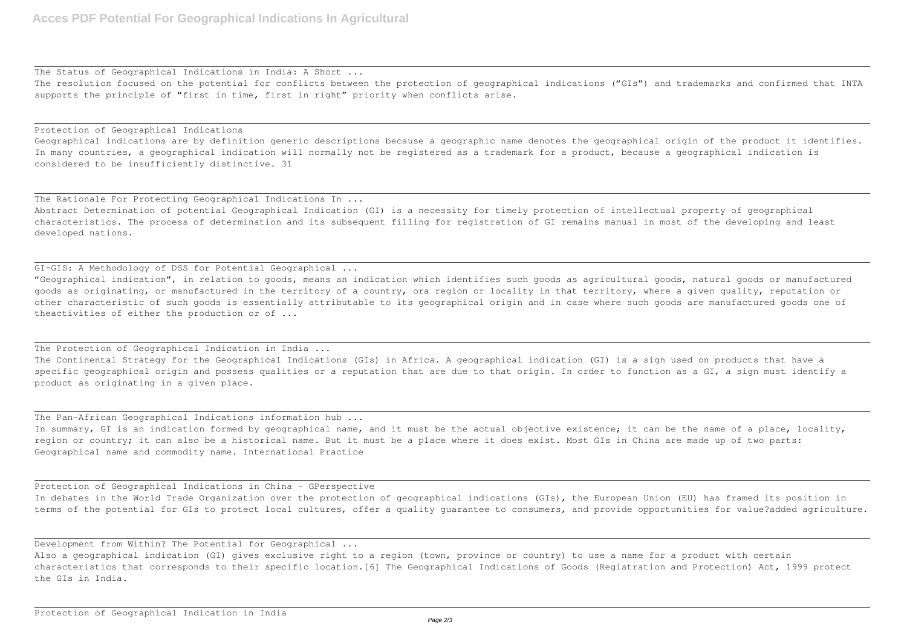The Status of Geographical Indications in India: A Short ... The resolution focused on the potential for conflicts between the protection of geographical indications ("GIs") and trademarks and confirmed that INTA supports the principle of "first in time, first in right" priority when conflicts arise.

Geographical indications are by definition generic descriptions because a geographic name denotes the geographical origin of the product it identifies. In many countries, a geographical indication will normally not be registered as a trademark for a product, because a geographical indication is considered to be insufficiently distinctive. 31

## Protection of Geographical Indications

The Rationale For Protecting Geographical Indications In ... Abstract Determination of potential Geographical Indication (GI) is a necessity for timely protection of intellectual property of geographical characteristics. The process of determination and its subsequent filling for registration of GI remains manual in most of the developing and least developed nations.

GI-GIS: A Methodology of DSS for Potential Geographical ... "Geographical indication", in relation to goods, means an indication which identifies such goods as agricultural goods, natural goods or manufactured goods as originating, or manufactured in the territory of a country, ora region or locality in that territory, where a given quality, reputation or other characteristic of such goods is essentially attributable to its geographical origin and in case where such goods are manufactured goods one of theactivities of either the production or of ...

Also a geographical indication (GI) gives exclusive right to a region (town, province or country) to use a name for a product with certain characteristics that corresponds to their specific location.[6] The Geographical Indications of Goods (Registration and Protection) Act, 1999 protect the GIs in India.

## The Protection of Geographical Indication in India ...

The Continental Strategy for the Geographical Indications (GIs) in Africa. A geographical indication (GI) is a sign used on products that have a specific geographical origin and possess qualities or a reputation that are due to that origin. In order to function as a GI, a sign must identify a product as originating in a given place.

The Pan-African Geographical Indications information hub ... In summary, GI is an indication formed by geographical name, and it must be the actual objective existence; it can be the name of a place, locality, region or country; it can also be a historical name. But it must be a place where it does exist. Most GIs in China are made up of two parts: Geographical name and commodity name. International Practice

Protection of Geographical Indications in China – GPerspective In debates in the World Trade Organization over the protection of geographical indications (GIs), the European Union (EU) has framed its position in terms of the potential for GIs to protect local cultures, offer a quality guarantee to consumers, and provide opportunities for value?added agriculture.

Development from Within? The Potential for Geographical ...